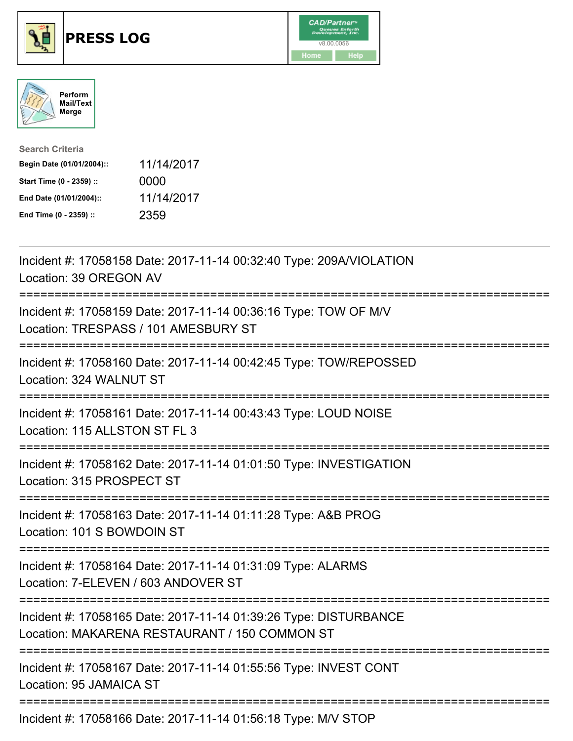





| <b>Search Criteria</b>    |            |
|---------------------------|------------|
| Begin Date (01/01/2004):: | 11/14/2017 |
| Start Time (0 - 2359) ::  | 0000       |
| End Date (01/01/2004)::   | 11/14/2017 |
| End Time (0 - 2359) ::    | 2359       |

| Incident #: 17058158 Date: 2017-11-14 00:32:40 Type: 209A/VIOLATION<br>Location: 39 OREGON AV                                 |
|-------------------------------------------------------------------------------------------------------------------------------|
| Incident #: 17058159 Date: 2017-11-14 00:36:16 Type: TOW OF M/V<br>Location: TRESPASS / 101 AMESBURY ST                       |
| Incident #: 17058160 Date: 2017-11-14 00:42:45 Type: TOW/REPOSSED<br>Location: 324 WALNUT ST                                  |
| Incident #: 17058161 Date: 2017-11-14 00:43:43 Type: LOUD NOISE<br>Location: 115 ALLSTON ST FL 3                              |
| Incident #: 17058162 Date: 2017-11-14 01:01:50 Type: INVESTIGATION<br>Location: 315 PROSPECT ST                               |
| Incident #: 17058163 Date: 2017-11-14 01:11:28 Type: A&B PROG<br>Location: 101 S BOWDOIN ST                                   |
| Incident #: 17058164 Date: 2017-11-14 01:31:09 Type: ALARMS<br>Location: 7-ELEVEN / 603 ANDOVER ST<br>----------------------- |
| Incident #: 17058165 Date: 2017-11-14 01:39:26 Type: DISTURBANCE<br>Location: MAKARENA RESTAURANT / 150 COMMON ST             |
| Incident #: 17058167 Date: 2017-11-14 01:55:56 Type: INVEST CONT<br>Location: 95 JAMAICA ST                                   |
| $1.11.11.1$ $1.47050400$ $D_{11}$ , $0.047.44.44.04.50.40$ $T_{1}$ , $\ldots$ , $0.001$ $D_{1}$                               |

Incident #: 17058166 Date: 2017-11-14 01:56:18 Type: M/V STOP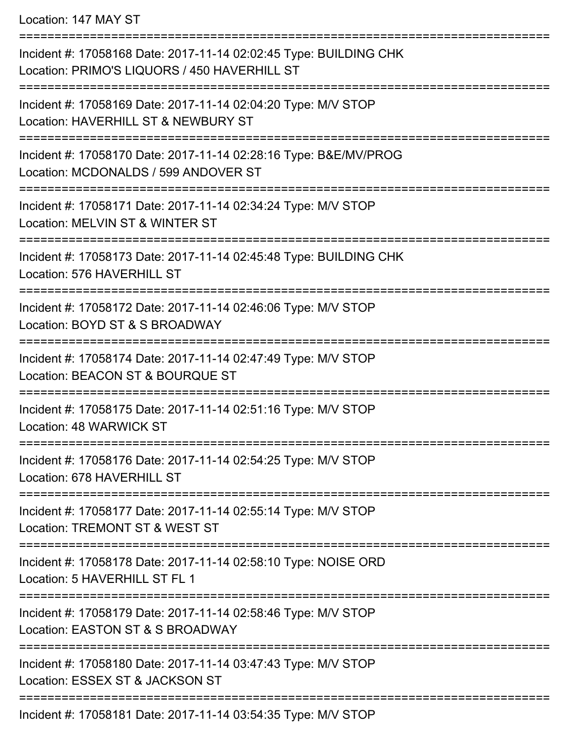Location: 147 MAY ST

| Incident #: 17058168 Date: 2017-11-14 02:02:45 Type: BUILDING CHK<br>Location: PRIMO'S LIQUORS / 450 HAVERHILL ST |
|-------------------------------------------------------------------------------------------------------------------|
| Incident #: 17058169 Date: 2017-11-14 02:04:20 Type: M/V STOP<br>Location: HAVERHILL ST & NEWBURY ST              |
| Incident #: 17058170 Date: 2017-11-14 02:28:16 Type: B&E/MV/PROG<br>Location: MCDONALDS / 599 ANDOVER ST          |
| Incident #: 17058171 Date: 2017-11-14 02:34:24 Type: M/V STOP<br>Location: MELVIN ST & WINTER ST                  |
| Incident #: 17058173 Date: 2017-11-14 02:45:48 Type: BUILDING CHK<br>Location: 576 HAVERHILL ST                   |
| Incident #: 17058172 Date: 2017-11-14 02:46:06 Type: M/V STOP<br>Location: BOYD ST & S BROADWAY                   |
| Incident #: 17058174 Date: 2017-11-14 02:47:49 Type: M/V STOP<br>Location: BEACON ST & BOURQUE ST                 |
| Incident #: 17058175 Date: 2017-11-14 02:51:16 Type: M/V STOP<br>Location: 48 WARWICK ST                          |
| Incident #: 17058176 Date: 2017-11-14 02:54:25 Type: M/V STOP<br>Location: 678 HAVERHILL ST                       |
| Incident #: 17058177 Date: 2017-11-14 02:55:14 Type: M/V STOP<br>Location: TREMONT ST & WEST ST                   |
| Incident #: 17058178 Date: 2017-11-14 02:58:10 Type: NOISE ORD<br>Location: 5 HAVERHILL ST FL 1                   |
| Incident #: 17058179 Date: 2017-11-14 02:58:46 Type: M/V STOP<br>Location: EASTON ST & S BROADWAY                 |
| Incident #: 17058180 Date: 2017-11-14 03:47:43 Type: M/V STOP<br>Location: ESSEX ST & JACKSON ST                  |
| Incident #: 17058181 Date: 2017-11-14 03:54:35 Type: M/V STOP                                                     |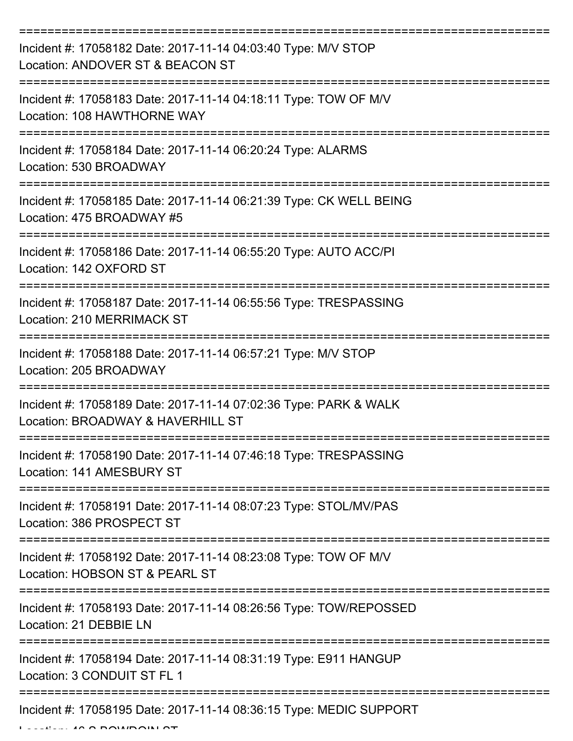| Incident #: 17058182 Date: 2017-11-14 04:03:40 Type: M/V STOP<br>Location: ANDOVER ST & BEACON ST                                   |
|-------------------------------------------------------------------------------------------------------------------------------------|
| Incident #: 17058183 Date: 2017-11-14 04:18:11 Type: TOW OF M/V<br>Location: 108 HAWTHORNE WAY                                      |
| Incident #: 17058184 Date: 2017-11-14 06:20:24 Type: ALARMS<br>Location: 530 BROADWAY                                               |
| Incident #: 17058185 Date: 2017-11-14 06:21:39 Type: CK WELL BEING<br>Location: 475 BROADWAY #5                                     |
| Incident #: 17058186 Date: 2017-11-14 06:55:20 Type: AUTO ACC/PI<br>Location: 142 OXFORD ST                                         |
| :================================<br>Incident #: 17058187 Date: 2017-11-14 06:55:56 Type: TRESPASSING<br>Location: 210 MERRIMACK ST |
| Incident #: 17058188 Date: 2017-11-14 06:57:21 Type: M/V STOP<br>Location: 205 BROADWAY                                             |
| Incident #: 17058189 Date: 2017-11-14 07:02:36 Type: PARK & WALK<br>Location: BROADWAY & HAVERHILL ST                               |
| Incident #: 17058190 Date: 2017-11-14 07:46:18 Type: TRESPASSING<br>Location: 141 AMESBURY ST                                       |
| Incident #: 17058191 Date: 2017-11-14 08:07:23 Type: STOL/MV/PAS<br>Location: 386 PROSPECT ST                                       |
| Incident #: 17058192 Date: 2017-11-14 08:23:08 Type: TOW OF M/V<br>Location: HOBSON ST & PEARL ST                                   |
| Incident #: 17058193 Date: 2017-11-14 08:26:56 Type: TOW/REPOSSED<br>Location: 21 DEBBIE LN                                         |
| Incident #: 17058194 Date: 2017-11-14 08:31:19 Type: E911 HANGUP<br>Location: 3 CONDUIT ST FL 1                                     |
| Incident #: 17058195 Date: 2017-11-14 08:36:15 Type: MEDIC SUPPORT                                                                  |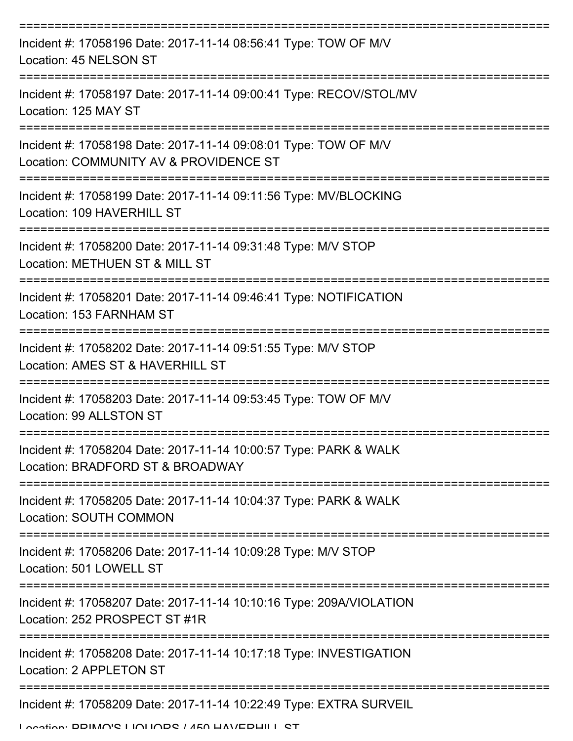| Incident #: 17058196 Date: 2017-11-14 08:56:41 Type: TOW OF M/V<br>Location: 45 NELSON ST                 |
|-----------------------------------------------------------------------------------------------------------|
| Incident #: 17058197 Date: 2017-11-14 09:00:41 Type: RECOV/STOL/MV<br>Location: 125 MAY ST                |
| Incident #: 17058198 Date: 2017-11-14 09:08:01 Type: TOW OF M/V<br>Location: COMMUNITY AV & PROVIDENCE ST |
| Incident #: 17058199 Date: 2017-11-14 09:11:56 Type: MV/BLOCKING<br>Location: 109 HAVERHILL ST            |
| Incident #: 17058200 Date: 2017-11-14 09:31:48 Type: M/V STOP<br>Location: METHUEN ST & MILL ST           |
| Incident #: 17058201 Date: 2017-11-14 09:46:41 Type: NOTIFICATION<br>Location: 153 FARNHAM ST             |
| Incident #: 17058202 Date: 2017-11-14 09:51:55 Type: M/V STOP<br>Location: AMES ST & HAVERHILL ST         |
| Incident #: 17058203 Date: 2017-11-14 09:53:45 Type: TOW OF M/V<br>Location: 99 ALLSTON ST                |
| Incident #: 17058204 Date: 2017-11-14 10:00:57 Type: PARK & WALK<br>Location: BRADFORD ST & BROADWAY      |
| Incident #: 17058205 Date: 2017-11-14 10:04:37 Type: PARK & WALK<br><b>Location: SOUTH COMMON</b>         |
| Incident #: 17058206 Date: 2017-11-14 10:09:28 Type: M/V STOP<br>Location: 501 LOWELL ST                  |
| Incident #: 17058207 Date: 2017-11-14 10:10:16 Type: 209A/VIOLATION<br>Location: 252 PROSPECT ST #1R      |
| Incident #: 17058208 Date: 2017-11-14 10:17:18 Type: INVESTIGATION<br>Location: 2 APPLETON ST             |
| Incident #: 17058209 Date: 2017-11-14 10:22:49 Type: EXTRA SURVEIL                                        |

Location: DDIMO'S LIOLIODS / 450 HAVEDHILL ST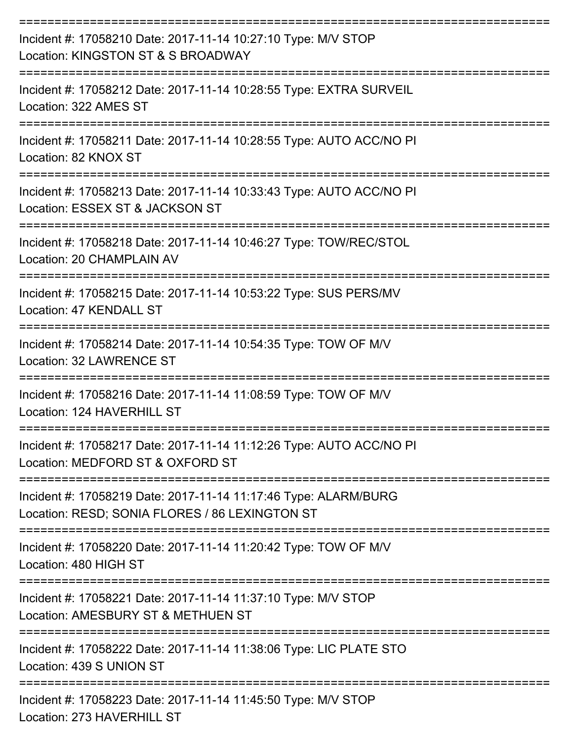| Incident #: 17058210 Date: 2017-11-14 10:27:10 Type: M/V STOP<br>Location: KINGSTON ST & S BROADWAY                              |
|----------------------------------------------------------------------------------------------------------------------------------|
| Incident #: 17058212 Date: 2017-11-14 10:28:55 Type: EXTRA SURVEIL<br>Location: 322 AMES ST                                      |
| Incident #: 17058211 Date: 2017-11-14 10:28:55 Type: AUTO ACC/NO PI<br>Location: 82 KNOX ST                                      |
| Incident #: 17058213 Date: 2017-11-14 10:33:43 Type: AUTO ACC/NO PI<br>Location: ESSEX ST & JACKSON ST                           |
| Incident #: 17058218 Date: 2017-11-14 10:46:27 Type: TOW/REC/STOL<br>Location: 20 CHAMPLAIN AV                                   |
| Incident #: 17058215 Date: 2017-11-14 10:53:22 Type: SUS PERS/MV<br>Location: 47 KENDALL ST                                      |
| Incident #: 17058214 Date: 2017-11-14 10:54:35 Type: TOW OF M/V<br>Location: 32 LAWRENCE ST                                      |
| Incident #: 17058216 Date: 2017-11-14 11:08:59 Type: TOW OF M/V<br>Location: 124 HAVERHILL ST                                    |
| Incident #: 17058217 Date: 2017-11-14 11:12:26 Type: AUTO ACC/NO PI<br>Location: MEDFORD ST & OXFORD ST                          |
| -----------<br>Incident #: 17058219 Date: 2017-11-14 11:17:46 Type: ALARM/BURG<br>Location: RESD; SONIA FLORES / 86 LEXINGTON ST |
| Incident #: 17058220 Date: 2017-11-14 11:20:42 Type: TOW OF M/V<br>Location: 480 HIGH ST                                         |
| Incident #: 17058221 Date: 2017-11-14 11:37:10 Type: M/V STOP<br>Location: AMESBURY ST & METHUEN ST                              |
| Incident #: 17058222 Date: 2017-11-14 11:38:06 Type: LIC PLATE STO<br>Location: 439 S UNION ST                                   |
| Incident #: 17058223 Date: 2017-11-14 11:45:50 Type: M/V STOP<br>Location: 273 HAVERHILL ST                                      |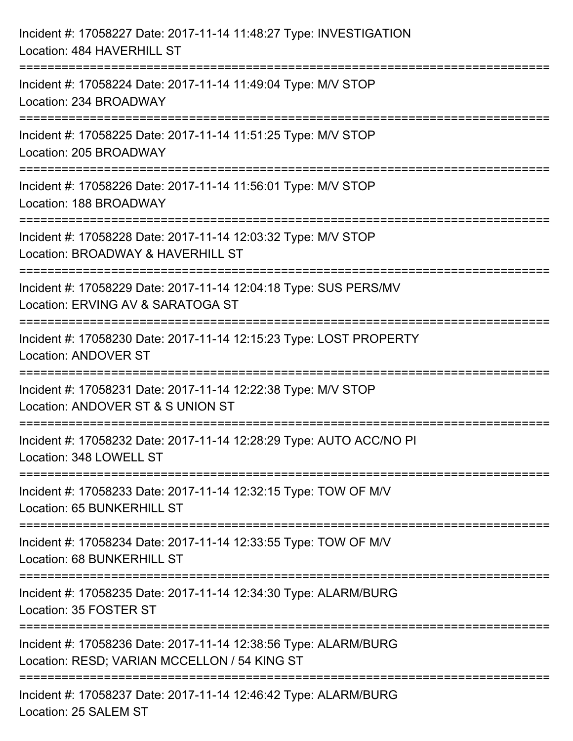| Incident #: 17058227 Date: 2017-11-14 11:48:27 Type: INVESTIGATION<br>Location: 484 HAVERHILL ST                                                       |
|--------------------------------------------------------------------------------------------------------------------------------------------------------|
| Incident #: 17058224 Date: 2017-11-14 11:49:04 Type: M/V STOP<br>Location: 234 BROADWAY                                                                |
| Incident #: 17058225 Date: 2017-11-14 11:51:25 Type: M/V STOP<br>Location: 205 BROADWAY<br>===================================<br>-------------------- |
| Incident #: 17058226 Date: 2017-11-14 11:56:01 Type: M/V STOP<br>Location: 188 BROADWAY                                                                |
| Incident #: 17058228 Date: 2017-11-14 12:03:32 Type: M/V STOP<br>Location: BROADWAY & HAVERHILL ST<br>================================                 |
| Incident #: 17058229 Date: 2017-11-14 12:04:18 Type: SUS PERS/MV<br>Location: ERVING AV & SARATOGA ST                                                  |
| Incident #: 17058230 Date: 2017-11-14 12:15:23 Type: LOST PROPERTY<br><b>Location: ANDOVER ST</b>                                                      |
| Incident #: 17058231 Date: 2017-11-14 12:22:38 Type: M/V STOP<br>Location: ANDOVER ST & S UNION ST                                                     |
| Incident #: 17058232 Date: 2017-11-14 12:28:29 Type: AUTO ACC/NO PI<br>Location: 348 LOWELL ST                                                         |
| Incident #: 17058233 Date: 2017-11-14 12:32:15 Type: TOW OF M/V<br>Location: 65 BUNKERHILL ST                                                          |
| Incident #: 17058234 Date: 2017-11-14 12:33:55 Type: TOW OF M/V<br>Location: 68 BUNKERHILL ST<br>------------------------------------                  |
| Incident #: 17058235 Date: 2017-11-14 12:34:30 Type: ALARM/BURG<br>Location: 35 FOSTER ST                                                              |
| Incident #: 17058236 Date: 2017-11-14 12:38:56 Type: ALARM/BURG<br>Location: RESD; VARIAN MCCELLON / 54 KING ST                                        |
| Incident #: 17058237 Date: 2017-11-14 12:46:42 Type: ALARM/BURG<br>Location: 25 SALEM ST                                                               |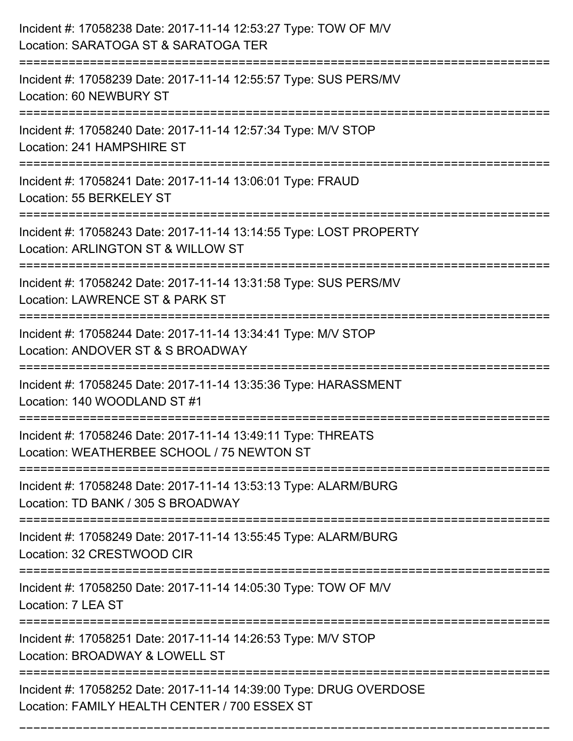| Incident #: 17058238 Date: 2017-11-14 12:53:27 Type: TOW OF M/V<br>Location: SARATOGA ST & SARATOGA TER                                                                  |
|--------------------------------------------------------------------------------------------------------------------------------------------------------------------------|
| Incident #: 17058239 Date: 2017-11-14 12:55:57 Type: SUS PERS/MV<br>Location: 60 NEWBURY ST                                                                              |
| Incident #: 17058240 Date: 2017-11-14 12:57:34 Type: M/V STOP<br>Location: 241 HAMPSHIRE ST<br>:================================                                         |
| Incident #: 17058241 Date: 2017-11-14 13:06:01 Type: FRAUD<br>Location: 55 BERKELEY ST                                                                                   |
| Incident #: 17058243 Date: 2017-11-14 13:14:55 Type: LOST PROPERTY<br>Location: ARLINGTON ST & WILLOW ST                                                                 |
| Incident #: 17058242 Date: 2017-11-14 13:31:58 Type: SUS PERS/MV<br>Location: LAWRENCE ST & PARK ST<br>:=========================<br>----------------------------------- |
| Incident #: 17058244 Date: 2017-11-14 13:34:41 Type: M/V STOP<br>Location: ANDOVER ST & S BROADWAY                                                                       |
| Incident #: 17058245 Date: 2017-11-14 13:35:36 Type: HARASSMENT<br>Location: 140 WOODLAND ST #1                                                                          |
| Incident #: 17058246 Date: 2017-11-14 13:49:11 Type: THREATS<br>Location: WEATHERBEE SCHOOL / 75 NEWTON ST                                                               |
| Incident #: 17058248 Date: 2017-11-14 13:53:13 Type: ALARM/BURG<br>Location: TD BANK / 305 S BROADWAY                                                                    |
| Incident #: 17058249 Date: 2017-11-14 13:55:45 Type: ALARM/BURG<br>Location: 32 CRESTWOOD CIR                                                                            |
| Incident #: 17058250 Date: 2017-11-14 14:05:30 Type: TOW OF M/V<br>Location: 7 LEA ST                                                                                    |
| Incident #: 17058251 Date: 2017-11-14 14:26:53 Type: M/V STOP<br>Location: BROADWAY & LOWELL ST                                                                          |
| Incident #: 17058252 Date: 2017-11-14 14:39:00 Type: DRUG OVERDOSE<br>Location: FAMILY HEALTH CENTER / 700 ESSEX ST                                                      |

===========================================================================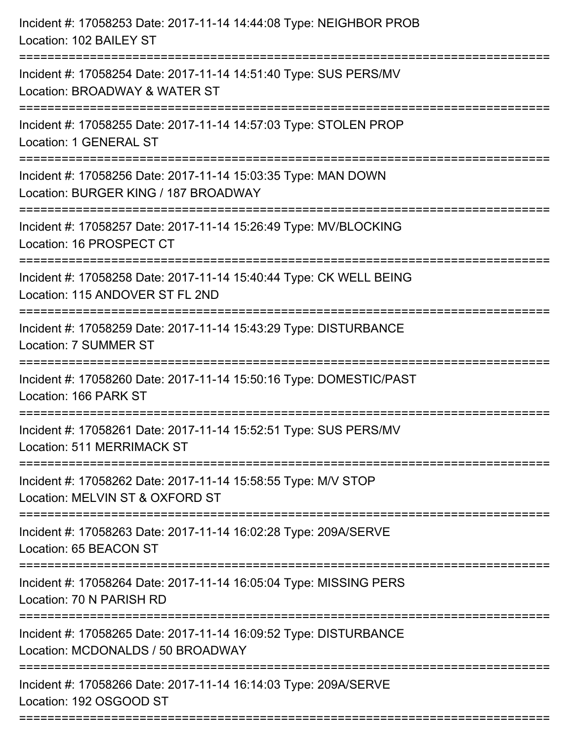| Incident #: 17058253 Date: 2017-11-14 14:44:08 Type: NEIGHBOR PROB<br>Location: 102 BAILEY ST         |
|-------------------------------------------------------------------------------------------------------|
| Incident #: 17058254 Date: 2017-11-14 14:51:40 Type: SUS PERS/MV<br>Location: BROADWAY & WATER ST     |
| Incident #: 17058255 Date: 2017-11-14 14:57:03 Type: STOLEN PROP<br>Location: 1 GENERAL ST            |
| Incident #: 17058256 Date: 2017-11-14 15:03:35 Type: MAN DOWN<br>Location: BURGER KING / 187 BROADWAY |
| Incident #: 17058257 Date: 2017-11-14 15:26:49 Type: MV/BLOCKING<br>Location: 16 PROSPECT CT          |
| Incident #: 17058258 Date: 2017-11-14 15:40:44 Type: CK WELL BEING<br>Location: 115 ANDOVER ST FL 2ND |
| Incident #: 17058259 Date: 2017-11-14 15:43:29 Type: DISTURBANCE<br>Location: 7 SUMMER ST             |
| Incident #: 17058260 Date: 2017-11-14 15:50:16 Type: DOMESTIC/PAST<br>Location: 166 PARK ST           |
| Incident #: 17058261 Date: 2017-11-14 15:52:51 Type: SUS PERS/MV<br>Location: 511 MERRIMACK ST        |
| Incident #: 17058262 Date: 2017-11-14 15:58:55 Type: M/V STOP<br>Location: MELVIN ST & OXFORD ST      |
| Incident #: 17058263 Date: 2017-11-14 16:02:28 Type: 209A/SERVE<br>Location: 65 BEACON ST             |
| Incident #: 17058264 Date: 2017-11-14 16:05:04 Type: MISSING PERS<br>Location: 70 N PARISH RD         |
| Incident #: 17058265 Date: 2017-11-14 16:09:52 Type: DISTURBANCE<br>Location: MCDONALDS / 50 BROADWAY |
| Incident #: 17058266 Date: 2017-11-14 16:14:03 Type: 209A/SERVE<br>Location: 192 OSGOOD ST            |
|                                                                                                       |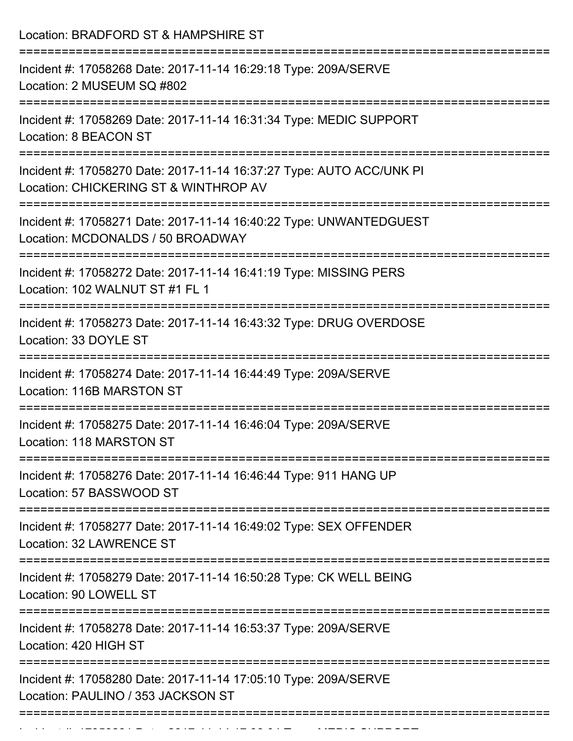| Location: BRADFORD ST & HAMPSHIRE ST                                                                                                                    |
|---------------------------------------------------------------------------------------------------------------------------------------------------------|
| Incident #: 17058268 Date: 2017-11-14 16:29:18 Type: 209A/SERVE<br>Location: 2 MUSEUM SQ #802                                                           |
| Incident #: 17058269 Date: 2017-11-14 16:31:34 Type: MEDIC SUPPORT<br>Location: 8 BEACON ST                                                             |
| Incident #: 17058270 Date: 2017-11-14 16:37:27 Type: AUTO ACC/UNK PI<br>Location: CHICKERING ST & WINTHROP AV<br>;===================================== |
| Incident #: 17058271 Date: 2017-11-14 16:40:22 Type: UNWANTEDGUEST<br>Location: MCDONALDS / 50 BROADWAY                                                 |
| Incident #: 17058272 Date: 2017-11-14 16:41:19 Type: MISSING PERS<br>Location: 102 WALNUT ST #1 FL 1                                                    |
| Incident #: 17058273 Date: 2017-11-14 16:43:32 Type: DRUG OVERDOSE<br>Location: 33 DOYLE ST                                                             |
| Incident #: 17058274 Date: 2017-11-14 16:44:49 Type: 209A/SERVE<br>Location: 116B MARSTON ST                                                            |
| Incident #: 17058275 Date: 2017-11-14 16:46:04 Type: 209A/SERVE<br>Location: 118 MARSTON ST                                                             |
| Incident #: 17058276 Date: 2017-11-14 16:46:44 Type: 911 HANG UP<br>Location: 57 BASSWOOD ST                                                            |
| Incident #: 17058277 Date: 2017-11-14 16:49:02 Type: SEX OFFENDER<br>Location: 32 LAWRENCE ST                                                           |
| Incident #: 17058279 Date: 2017-11-14 16:50:28 Type: CK WELL BEING<br>Location: 90 LOWELL ST                                                            |
| Incident #: 17058278 Date: 2017-11-14 16:53:37 Type: 209A/SERVE<br>Location: 420 HIGH ST                                                                |
| Incident #: 17058280 Date: 2017-11-14 17:05:10 Type: 209A/SERVE<br>Location: PAULINO / 353 JACKSON ST                                                   |
|                                                                                                                                                         |

Incident #: 17058281 Date: 2017 11 14 17:06:04 Type: MEDIC SUPPORT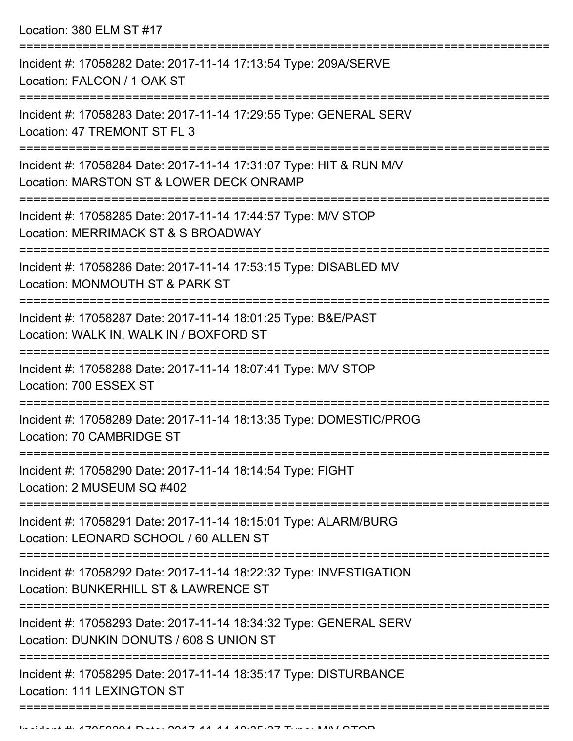Location: 380 ELM ST #17

| Incident #: 17058282 Date: 2017-11-14 17:13:54 Type: 209A/SERVE<br>Location: FALCON / 1 OAK ST                           |
|--------------------------------------------------------------------------------------------------------------------------|
| Incident #: 17058283 Date: 2017-11-14 17:29:55 Type: GENERAL SERV<br>Location: 47 TREMONT ST FL 3                        |
| Incident #: 17058284 Date: 2017-11-14 17:31:07 Type: HIT & RUN M/V<br>Location: MARSTON ST & LOWER DECK ONRAMP           |
| Incident #: 17058285 Date: 2017-11-14 17:44:57 Type: M/V STOP<br>Location: MERRIMACK ST & S BROADWAY                     |
| Incident #: 17058286 Date: 2017-11-14 17:53:15 Type: DISABLED MV<br>Location: MONMOUTH ST & PARK ST                      |
| Incident #: 17058287 Date: 2017-11-14 18:01:25 Type: B&E/PAST<br>Location: WALK IN, WALK IN / BOXFORD ST                 |
| Incident #: 17058288 Date: 2017-11-14 18:07:41 Type: M/V STOP<br>Location: 700 ESSEX ST                                  |
| Incident #: 17058289 Date: 2017-11-14 18:13:35 Type: DOMESTIC/PROG<br>Location: 70 CAMBRIDGE ST                          |
| Incident #: 17058290 Date: 2017-11-14 18:14:54 Type: FIGHT<br>Location: 2 MUSEUM SQ #402                                 |
| -----------<br>Incident #: 17058291 Date: 2017-11-14 18:15:01 Type: ALARM/BURG<br>Location: LEONARD SCHOOL / 60 ALLEN ST |
| Incident #: 17058292 Date: 2017-11-14 18:22:32 Type: INVESTIGATION<br>Location: BUNKERHILL ST & LAWRENCE ST              |
| Incident #: 17058293 Date: 2017-11-14 18:34:32 Type: GENERAL SERV<br>Location: DUNKIN DONUTS / 608 S UNION ST            |
| Incident #: 17058295 Date: 2017-11-14 18:35:17 Type: DISTURBANCE<br>Location: 111 LEXINGTON ST                           |
|                                                                                                                          |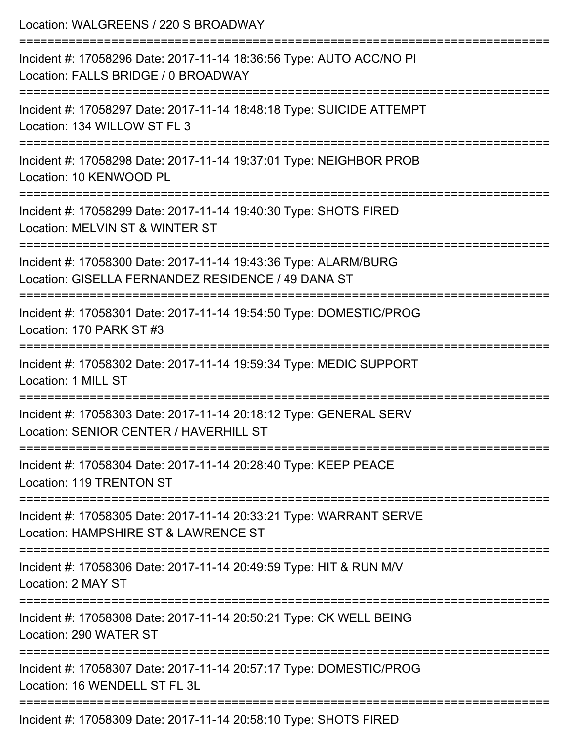| Location: WALGREENS / 220 S BROADWAY                                                                                  |
|-----------------------------------------------------------------------------------------------------------------------|
| Incident #: 17058296 Date: 2017-11-14 18:36:56 Type: AUTO ACC/NO PI<br>Location: FALLS BRIDGE / 0 BROADWAY            |
| Incident #: 17058297 Date: 2017-11-14 18:48:18 Type: SUICIDE ATTEMPT<br>Location: 134 WILLOW ST FL 3                  |
| Incident #: 17058298 Date: 2017-11-14 19:37:01 Type: NEIGHBOR PROB<br>Location: 10 KENWOOD PL                         |
| Incident #: 17058299 Date: 2017-11-14 19:40:30 Type: SHOTS FIRED<br>Location: MELVIN ST & WINTER ST                   |
| Incident #: 17058300 Date: 2017-11-14 19:43:36 Type: ALARM/BURG<br>Location: GISELLA FERNANDEZ RESIDENCE / 49 DANA ST |
| Incident #: 17058301 Date: 2017-11-14 19:54:50 Type: DOMESTIC/PROG<br>Location: 170 PARK ST #3                        |
| Incident #: 17058302 Date: 2017-11-14 19:59:34 Type: MEDIC SUPPORT<br>Location: 1 MILL ST                             |
| Incident #: 17058303 Date: 2017-11-14 20:18:12 Type: GENERAL SERV<br>Location: SENIOR CENTER / HAVERHILL ST           |
| Incident #: 17058304 Date: 2017-11-14 20:28:40 Type: KEEP PEACE<br>Location: 119 TRENTON ST                           |
| Incident #: 17058305 Date: 2017-11-14 20:33:21 Type: WARRANT SERVE<br>Location: HAMPSHIRE ST & LAWRENCE ST            |
| Incident #: 17058306 Date: 2017-11-14 20:49:59 Type: HIT & RUN M/V<br>Location: 2 MAY ST                              |
| Incident #: 17058308 Date: 2017-11-14 20:50:21 Type: CK WELL BEING<br>Location: 290 WATER ST                          |
| Incident #: 17058307 Date: 2017-11-14 20:57:17 Type: DOMESTIC/PROG<br>Location: 16 WENDELL ST FL 3L                   |
| Incident #: 17058309 Date: 2017-11-14 20:58:10 Type: SHOTS FIRED                                                      |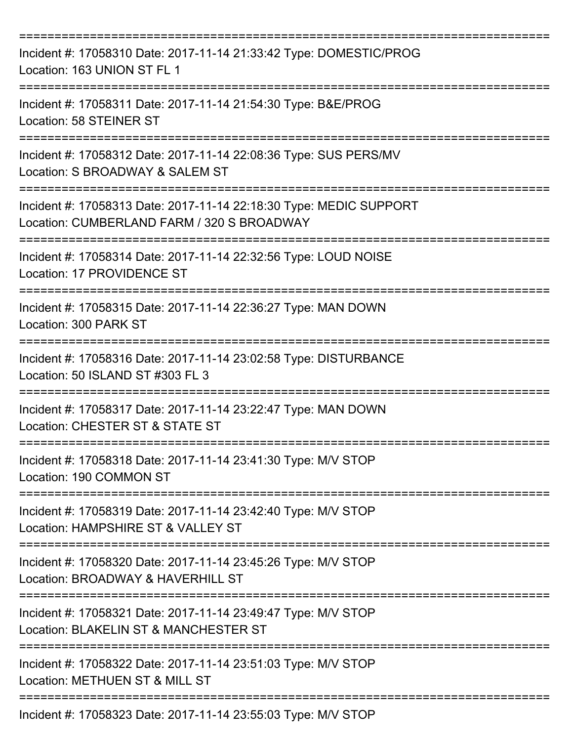| Incident #: 17058310 Date: 2017-11-14 21:33:42 Type: DOMESTIC/PROG<br>Location: 163 UNION ST FL 1                           |
|-----------------------------------------------------------------------------------------------------------------------------|
| Incident #: 17058311 Date: 2017-11-14 21:54:30 Type: B&E/PROG<br>Location: 58 STEINER ST                                    |
| Incident #: 17058312 Date: 2017-11-14 22:08:36 Type: SUS PERS/MV<br>Location: S BROADWAY & SALEM ST                         |
| Incident #: 17058313 Date: 2017-11-14 22:18:30 Type: MEDIC SUPPORT<br>Location: CUMBERLAND FARM / 320 S BROADWAY            |
| Incident #: 17058314 Date: 2017-11-14 22:32:56 Type: LOUD NOISE<br>Location: 17 PROVIDENCE ST                               |
| Incident #: 17058315 Date: 2017-11-14 22:36:27 Type: MAN DOWN<br>Location: 300 PARK ST                                      |
| Incident #: 17058316 Date: 2017-11-14 23:02:58 Type: DISTURBANCE<br>Location: 50 ISLAND ST #303 FL 3                        |
| Incident #: 17058317 Date: 2017-11-14 23:22:47 Type: MAN DOWN<br>Location: CHESTER ST & STATE ST                            |
| ===============<br>Incident #: 17058318 Date: 2017-11-14 23:41:30 Type: M/V STOP<br>Location: 190 COMMON ST<br>------------ |
| Incident #: 17058319 Date: 2017-11-14 23:42:40 Type: M/V STOP<br>Location: HAMPSHIRE ST & VALLEY ST                         |
| Incident #: 17058320 Date: 2017-11-14 23:45:26 Type: M/V STOP<br>Location: BROADWAY & HAVERHILL ST                          |
| Incident #: 17058321 Date: 2017-11-14 23:49:47 Type: M/V STOP<br>Location: BLAKELIN ST & MANCHESTER ST                      |
| Incident #: 17058322 Date: 2017-11-14 23:51:03 Type: M/V STOP<br>Location: METHUEN ST & MILL ST                             |
| Incident #: 17058323 Date: 2017-11-14 23:55:03 Type: M/V STOP                                                               |